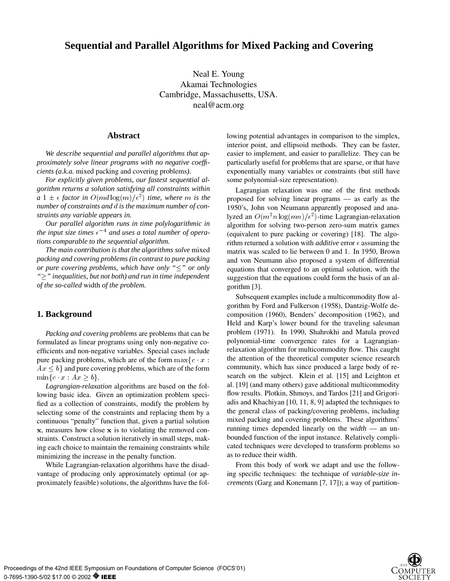# **Sequential and Parallel Algorithms for Mixed Packing and Covering**

Neal E. Young Akamai Technologies Cambridge, Massachusetts, USA. neal@acm.org

### **Abstract**

*We describe sequential and parallel algorithms that approximately solve linear programs with no negative coefficients (a.k.a.* mixed packing and covering problems*).*

*For explicitly given problems, our fastest sequential algorithm returns a solution satisfying all constraints within*  $a \; 1 \pm \epsilon$  *factor in*  $O(md \log(m)/\epsilon^2)$  *time, where* m *is the number of constraints and* d *is the maximum number of constraints any variable appears in.*

*Our parallel algorithm runs in time polylogarithmic in* the input size times  $\epsilon^{-4}$  and uses a total number of opera*tions comparable to the sequential algorithm.*

*The main contribution is that the algorithms solve* mixed *packing and covering problems (in contrast to pure packing or pure covering problems, which have only "* $\leq$ " *or only "" inequalities, but not both) and run in time independent of the so-called* width *of the problem.*

# **1. Background**

*Packing and covering problems* are problems that can be formulated as linear programs using only non-negative coefficients and non-negative variables. Special cases include pure packing problems, which are of the form  $\max\{c \mid x$ :  $Ax < b$  and pure covering problems, which are of the form  $\min\{c \mid x \mid Ax > b\}.$ 

*Lagrangian-relaxation* algorithms are based on the following basic idea. Given an optimization problem specified as a collection of constraints, modify the problem by selecting some of the constraints and replacing them by a continuous "penalty" function that, given a partial solution x, measures how close x is to violating the removed constraints. Construct a solution iteratively in small steps, making each choice to maintain the remaining constraints while minimizing the increase in the penalty function.

While Lagrangian-relaxation algorithms have the disadvantage of producing only approximately optimal (or approximately feasible) solutions, the algorithms have the following potential advantages in comparison to the simplex, interior point, and ellipsoid methods. They can be faster, easier to implement, and easier to parallelize. They can be particularly useful for problems that are sparse, or that have exponentially many variables or constraints (but still have some polynomial-size representation).

Lagrangian relaxation was one of the first methods proposed for solving linear programs — as early as the 1950's, John von Neumann apparently proposed and analyzed an  $O(m^2n \log(mn)/\epsilon^2)$ -time Lagrangian-relaxation algorithm for solving two-person zero-sum matrix games (equivalent to pure packing or covering) [18]. The algorithm returned a solution with *additive* error  $\epsilon$  assuming the matrix was scaled to lie between 0 and 1. In 1950, Brown and von Neumann also proposed a system of differential equations that converged to an optimal solution, with the suggestion that the equations could form the basis of an algorithm [3].

Subsequent examples include a multicommodity flow algorithm by Ford and Fulkerson (1958), Dantzig-Wolfe decomposition (1960), Benders' decomposition (1962), and Held and Karp's lower bound for the traveling salesman problem (1971). In 1990, Shahrokhi and Matula proved polynomial-time convergence rates for a Lagrangianrelaxation algorithm for multicommodity flow. This caught the attention of the theoretical computer science research community, which has since produced a large body of research on the subject. Klein et al. [15] and Leighton et al. [19] (and many others) gave additional multicommodity flow results. Plotkin, Shmoys, and Tardos [21] and Grigoriadis and Khachiyan [10, 11, 8, 9] adapted the techniques to the general class of packing/covering problems, including mixed packing and covering problems. These algorithms' running times depended linearly on the *width* — an unbounded function of the input instance. Relatively complicated techniques were developed to transform problems so as to reduce their width.

From this body of work we adapt and use the following specific techniques: the technique of *variable-size increments* (Garg and Konemann [7, 17]); a way of partition-

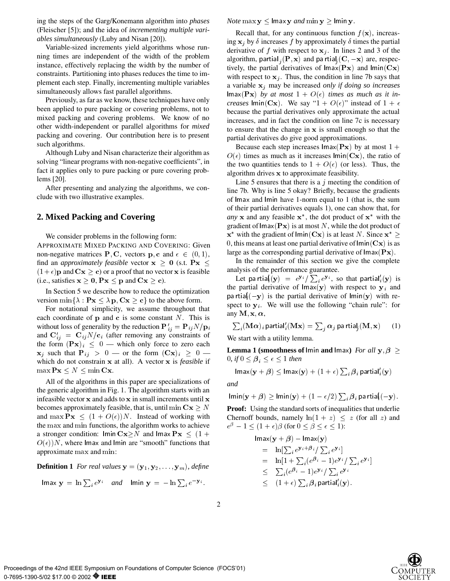ing the steps of the Garg/Konemann algorithm into *phases* (Fleischer [5]); and the idea of *incrementing multiple variables simultaneously* (Luby and Nisan [20]).

Variable-sized increments yield algorithms whose running times are independent of the width of the problem instance, effectively replacing the width by the number of constraints. Partitioning into phases reduces the time to implement each step. Finally, incrementing multiple variables simultaneously allows fast parallel algorithms.

Previously, as far as we know, these techniques have only been applied to pure packing or covering problems, not to mixed packing and covering problems. We know of no other width-independent or parallel algorithms for *mixed* packing and covering. Our contribution here is to present such algorithms.

Although Luby and Nisan characterize their algorithm as solving "linear programs with non-negative coefficients", in fact it applies only to pure packing or pure covering problems [20].

After presenting and analyzing the algorithms, we conclude with two illustrative examples.

# **2. Mixed Packing and Covering**

We consider problems in the following form: APPROXIMATE MIXED PACKING AND COVERING: Given non-negative matrices **P**, **C**, vectors **p**, **c** and  $\epsilon \in (0, 1)$ , find an *approximately feasible* vector  $x \ge 0$  (s.t.  $Px \le$  $(1 + \epsilon)$ **p** and  $Cx \ge c$ ) or a proof that no vector **x** is feasible (i.e., satisfies  $x \ge 0$ ,  $Px \le p$  and  $Cx \ge c$ ).

In Section 5 we describe how to reduce the optimization version min $\{\lambda : \mathbf{Px} \leq \lambda \mathbf{p}, \mathbf{Cx} \geq \mathbf{c}\}\$  to the above form.

For notational simplicity, we assume throughout that each coordinate of  $\bf{p}$  and  $\bf{c}$  is some constant  $N$ . This is without loss of generality by the reduction  ${\bf P}_{ii}^{\prime} = {\bf P}_{ij}N/{\bf p}_i$ and  $C'_{ij} = C_{ij}N/c_i$  (after removing any constraints of the form  $(Px)_i \leq 0$  — which only force to zero each  $\mathbf{x}_j$  such that  $\mathbf{P}_{ij} > 0$  — or the form  $(\mathbf{C}\mathbf{x})_i \geq 0$  which do not constrain x at all). A vector x is *feasible* if  $\max \mathbf{Px} \leq N \leq \min \mathbf{Cx}.$ 

All of the algorithms in this paper are specializations of the generic algorithm in Fig. 1. The algorithm starts with an infeasible vector <sup>x</sup> and adds to <sup>x</sup> in small increments until <sup>x</sup> becomes approximately feasible, that is, until min  $Cx \geq N$ and max  $\mathbf{P}\mathbf{x} \leq (1+O(\epsilon))N$ . Instead of working with the max and min functions, the algorithm works to achieve a stronger condition:  $\text{Im}\,\mathbf{C}\mathbf{x} \geq N$  and  $\text{Im}\,\mathbf{a}\mathbf{x} \mathbf{P}\mathbf{x} \leq (1+\mathbf{A})^T$  $O(\epsilon)$ )N, where lmax and lmin are "smooth" functions that approximate max and min:

**Definition 1** *For real values*  $y = (y_1, y_2, \ldots, y_m)$ *, define* 

$$
\text{Imax } \mathbf{y} = \ln \sum_{i} e^{\mathbf{y}_{i}} \quad \text{and} \quad \text{Imin } \mathbf{y} = -\ln \sum_{i} e^{-\mathbf{y}_{i}}.
$$

*Note* max  $y \leq$  lmax y *and* min  $y \geq$  lmin y.

Recall that, for any continuous function  $f(\mathbf{x})$ , increasing  $x_i$  by  $\delta$  increases f by approximately  $\delta$  times the partial derivative of f with respect to  $x_j$ . In lines 2 and 3 of the algorithm, partial,  $(\mathbf{P}, \mathbf{x})$  and partial,  $(\mathbf{C}, -\mathbf{x})$  are, respectively, the partial derivatives of  $lmax(Px)$  and  $lmin(Cx)$ with respect to  $x_j$ . Thus, the condition in line 7b says that a variable xj may be increased *only if doing so increases*  $\textsf{Imax}(\mathbf{Px})$  by at most  $1 + O(\epsilon)$  times as much as it in*creases* lmin(Cx). We say "1 +  $O(\epsilon)$ " instead of 1 +  $\epsilon$ because the partial derivatives only approximate the actual increases, and in fact the condition on line 7c is necessary to ensure that the change in <sup>x</sup> is small enough so that the partial derivatives do give good approximations.

Because each step increases  $\text{Imax}(\mathbf{Px})$  by at most  $1+$  $O(\epsilon)$  times as much as it increases lmin(Cx), the ratio of the two quantities tends to  $1 + O(\epsilon)$  (or less). Thus, the algorithm drives <sup>x</sup> to approximate feasibility.

Line 5 ensures that there is a  $j$  meeting the condition of line 7b. Why is line 5 okay? Briefly, because the gradients of lmax and lmin have 1-norm equal to 1 (that is, the sum of their partial derivatives equals 1), one can show that, for *any* x and any feasible  $x^*$ , the dot product of  $x^*$  with the gradient of  $\text{Imax}(\mathbf{Px})$  is at most N, while the dot product of  $x^*$  with the gradient of lmin(Cx) is at least N. Since  $x^* \geq$ 0, this means at least one partial derivative of  $\text{Im}(\mathbf{C}\mathbf{x})$  is as large as the corresponding partial derivative of  $\text{Imax}(\mathbf{Px})$ .

In the remainder of this section we give the complete analysis of the performance guarantee.

Let pa rtia $\{({\bf y})\;=\;e^{{\bf y}_i}/\sum_i e^{{\bf y}_i},\;{\rm so\; that\; partial}_i'({\bf y})\; {\rm is}\;$ the partial derivative of  $\text{Im}(y)$  with respect to  $y_i$  and pa rtia $(-y)$  is the partial derivative of lmin(y) with respect to  $y_i$ . We will use the following "chain rule": for any M, x,  $\alpha$ ,

$$
\sum_{i} (\mathbf{M}\boldsymbol{\alpha})_{i} \text{ partial}'_{i}(\mathbf{M}\mathbf{x}) = \sum_{j} \alpha_{j} \text{ pa trial}_{j}(\mathbf{M}, \mathbf{x}) \qquad (1)
$$

We start with a utility lemma.

**Lemma 1 (smoothness of** lmin **and** lmax) *For all*  $y, \beta \ge$ 0*, if*  $0 \leq \beta_i \leq \epsilon \leq 1$  then

$$
\mathsf{Imax}(\mathbf{y}+\bm{\beta}) \leq \mathsf{Imax}(\mathbf{y}) + (1+\epsilon)\sum_i \bm{\beta}_i\operatorname{\mathsf{partial}}'_i(\mathbf{y})
$$

*and*

2

$$
\mathsf{Inin}(\mathbf{y}+\beta)\ge \mathsf{Inin}(\mathbf{y})+(1-\epsilon/2)\sum\nolimits_i\bm{\beta}_i\,\mathsf{pa}\;\mathsf{rtia}_{i}^{\mathfrak{l}}(-\mathbf{y}).
$$

**Proof:** Using the standard sorts of inequalities that underlie Chernoff bounds, namely  $\ln(1+z) < z$  (for all z) and  $e^{\beta}-1 \leq (1+\epsilon)\beta$  (for  $0 \leq \beta \leq \epsilon \leq 1$ ):

$$
\begin{aligned}\n\text{Imax}(\mathbf{y} + \boldsymbol{\beta}) - \text{Imax}(\mathbf{y}) \\
&= \ln[\sum_i e^{\mathbf{y}_i + \boldsymbol{\beta}_i} / \sum_i e^{\mathbf{y}_i}] \\
&= \ln[1 + \sum_i (e^{\boldsymbol{\beta}_i} - 1) e^{\mathbf{y}_i} / \sum_i e^{\mathbf{y}_i}] \\
&\leq \sum_i (e^{\boldsymbol{\beta}_i} - 1) e^{\mathbf{y}_i} / \sum_i e^{\mathbf{y}_i} \\
&\leq (1 + \epsilon) \sum_i \boldsymbol{\beta}_i \text{ partial}_i'(\mathbf{y}).\n\end{aligned}
$$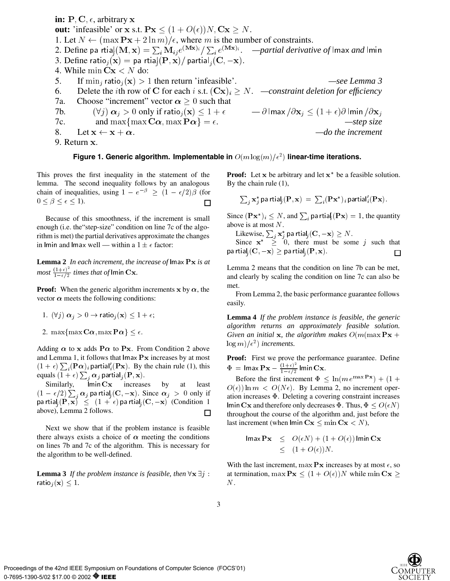**in:** P, C,  $\epsilon$ , arbitrary **x out:** 'infeasible' or x s.t.  $\mathbf{P}\mathbf{x} \leq (1 + O(\epsilon))N$ ,  $\mathbf{C}\mathbf{x} \geq N$ . 1. Let  $N \leftarrow (\max \mathbf{P} \mathbf{x} + 2 \ln m)/\epsilon$ , where m is the number of constraints. 2. Define pa rtia $|({\bf M},{\bf x})=\sum_i {\bf M}_{ij}e^{({\bf M}{\bf x})_i}/\sum_i e^{({\bf M}{\bf x})_i}.$  *—partial derivative of* lmax *and* lmin 3. Define ratio<sub>i</sub> $(\mathbf{x}) =$  partial $(\mathbf{P}, \mathbf{x})$  partial<sub>i</sub> $(\mathbf{C}, -\mathbf{x})$ . 4. While min  $\mathbf{C}\mathbf{x} < N$  do: 5. If  $\min_i \text{ratio}_i(\mathbf{x}) > 1$  then return 'infeasible'.  $\qquad \qquad -\text{see Lemma 3}$ 6. Delete the *i*th row of C for each *i* s.t.  $(Cx)_i \geq N$ . *—constraint deletion for efficiency* 7a. Choose "increment" vector  $\alpha \geq 0$  such that 7b.  $(\forall j) \alpha_j > 0$  only if ratio<sub>j</sub> $(\mathbf{x}) \leq 1 + \epsilon$   $- \partial \text{Imax}/\partial \mathbf{x}_j \leq (1 + \epsilon) \partial \text{Imin}/\partial \mathbf{x}_j$ 7c. and max $\{\max \mathbf{C}\boldsymbol{\alpha}, \max \mathbf{P}\boldsymbol{\alpha}\} = \epsilon$ .  $\qquad \qquad -step\ size$ 8. Let  $x \leftarrow x + \alpha$ .  $-do$  the increment 9. Return x.

### Figure 1. Generic algorithm. Implementable in  $O(m\log(m)/\epsilon^2)$  linear-time iterations.

This proves the first inequality in the statement of the lemma. The second inequality follows by an analogous chain of inequalities, using  $1 - e^{-\beta} \ge (1 - \epsilon/2)\beta$  (for  $0 \leq \beta \leq \epsilon \leq 1$ ).  $\Box$ 

Because of this smoothness, if the increment is small enough (i.e. the"step-size" condition on line 7c of the algorithm is met) the partial derivatives approximate the changes in lmin and lmax well — within a  $1 \pm \epsilon$  factor:

**Lemma 2** *In each increment, the increase of* lmax Px *is at most*  $\frac{(1+\epsilon)^2}{1-\epsilon/2}$  *times that of* lmin **Cx**.

**Proof:** When the generic algorithm increments x by  $\alpha$ , the vector  $\alpha$  meets the following conditions:

- 1.  $(\forall j) \alpha_j > 0 \rightarrow \text{ratio}_j(\mathbf{x}) \leq 1+\epsilon;$
- 2. max $\{\max \mathbf{C}\boldsymbol{\alpha}, \max \mathbf{P}\boldsymbol{\alpha}\}\leq \epsilon$ .

 $-2$ 

Adding  $\alpha$  to x adds P $\alpha$  to Px. From Condition 2 above and Lemma 1, it follows that  $\ln x \, \mathbf{P} x$  increases by at most  $(1 + \epsilon) \sum_i (\mathbf{P}\alpha)_i$  partial'<sub>i</sub>( $\mathbf{P}\mathbf{x}$ ). By the chain rule (1), this equals  $(1+\epsilon)\sum_{j}\bm{\alpha}_{j}$  partial $_{j}(\mathbf{P},\mathbf{x}).$ 

Similarly,  $\overline{\lim}$  Imin  $\overline{\text{Cx}}$  increases by at least  $(1-\epsilon/2)\sum_{j}\bm{\alpha}_{j}$  pa rtial $_j(\mathbf{C}, -\mathbf{x})$ . Since  $\bm{\alpha}_{j}~>~0$  only if pa rtial<sub>i</sub> $(P, x) \leq (1 + \epsilon)$  pa rtial<sub>i</sub> $(C, -x)$  (Condition 1) above), Lemma 2 follows.  $\Box$ 

Next we show that if the problem instance is feasible there always exists a choice of  $\alpha$  meeting the conditions on lines 7b and 7c of the algorithm. This is necessary for the algorithm to be well-defined.

**Lemma 3** *If the problem instance is feasible, then*  $\forall$ **x**  $\exists$ *j* : ratio<sub>*i*</sub> $(\mathbf{x}) \leq 1$ .

**Proof:** Let  $x$  be arbitrary and let  $x^*$  be a feasible solution. By the chain rule (1),

$$
\textstyle \sum_j \mathbf{x}_j^* \text{ pa trial}_j(\mathbf{P}, \mathbf{x}) \ = \ \sum_i (\mathbf{P} \mathbf{x}^*)_i \text{ partial}_i'(\mathbf{P} \mathbf{x}).
$$

Since  $(\mathbf{P}\mathbf{x}^*)_i \leq N$ , and  $\sum_i$  pa rtia $\{(\mathbf{P}\mathbf{x})=1\}$ , the quantity above is at most <sup>N</sup>.

Likewise,  $\sum_i \mathbf{x}^*_j$  pa rtial $_j(\mathbf{C}, -\mathbf{x}) \geq N.$ 

Since  $x^* \geq 0$ , there must be some j such that pa rtial,  $(C, -x) \geq p$ a rtial,  $(P, x)$ .  $\Box$ 

Lemma 2 means that the condition on line 7b can be met, and clearly by scaling the condition on line 7c can also be met.

From Lemma 2, the basic performance guarantee follows easily.

**Lemma 4** *If the problem instance is feasible, the generic algorithm returns an approximately feasible solution. Given an initial* **x***, the algorithm makes*  $O(m(\max \mathbf{P} \mathbf{x} + \mathbf{P} \mathbf{X}))$  $\log m$ )/ $\epsilon^2$ ) *increments.* 

**Proof:** First we prove the performance guarantee. Define  $\Phi = \text{Imax}\,\mathbf{Px} - \frac{(1+\epsilon)^2}{1-\epsilon/2} \text{Im}\,\text{in}\,\mathbf{Cx}.$ 

Before the first increment  $\Phi \leq \ln(m e^{\max \mathbf{P} \mathbf{x}}) + (1 +$  $O(\epsilon)$  ln  $m < O(N\epsilon)$ . By Lemma 2, no increment operation increases  $\Phi$ . Deleting a covering constraint increases lmin Cx and therefore only decreases  $\Phi$ . Thus,  $\Phi \leq O(\epsilon N)$ throughout the course of the algorithm and, just before the last increment (when lmin  $\mathbf{C}\mathbf{x} \leq \min \mathbf{C}\mathbf{x} < N$ ),

$$
\begin{array}{rcl}\n\text{Imax}\,\mathbf{P}\mathbf{x} & \leq & O(\epsilon N) + (1 + O(\epsilon)) \,\text{Imin}\,\mathbf{C}\mathbf{x} \\
& \leq & (1 + O(\epsilon)) \, N.\n\end{array}
$$

With the last increment, max  $\mathbf{P}$ x increases by at most  $\epsilon$ , so at termination, max  $\mathbf{P}\mathbf{x} < (1+O(\epsilon))N$  while min  $\mathbf{C}\mathbf{x} >$ N.



3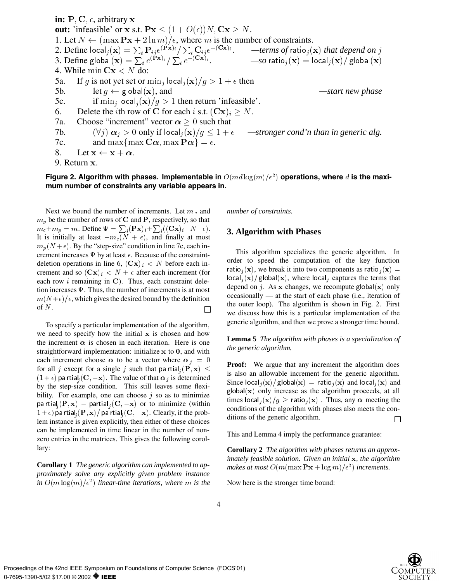**in:**  $P, C, \epsilon$ , arbitrary **x out:** 'infeasible' or x s.t.  $\mathbf{P}\mathbf{x} \leq (1 + O(\epsilon))N$ ,  $\mathbf{C}\mathbf{x} \geq N$ . 1. Let  $N \leftarrow (\max \mathbf{P} \mathbf{x} + 2 \ln m)/\epsilon$ , where m is the number of constraints. 2. Define  $\mathsf{local}_j(\mathbf{x}) = \sum_i \mathbf{P}_{ij} e^{(\mathbf{P} \mathbf{x})_i} / \sum_i \mathbf{C}_{ij} e^{-(\mathbf{C} \mathbf{x})_i}.$  *—terms of* ratio $_j(\mathbf{x})$  *that depend on*  $j$ 3. Define global $(\mathbf{x}) = \sum_i e^{(\mathbf{P} \mathbf{x})_i} / \sum_i e^{-(\mathbf{C} \mathbf{x})_i}.$  *—so* ratio $\mathbf{x}(\mathbf{x}) = \text{local}_i(\mathbf{x}) / \text{global}(\mathbf{x})$ 4. While min  $Cx < N$  do: 5a. If g is not yet set or  $\min_i |\text{ocal}_i(\mathbf{x})/g| > 1 + \epsilon$  then 5b. let  $g \leftarrow \text{global}(\mathbf{x})$ , and  $\qquad \qquad -\text{start new phase}$ 5c. if  $\min_j |\text{ocal}_i(\mathbf{x})/g\rangle 1$  then return 'infeasible'. 6. Delete the *i*th row of C for each *i* s.t.  $(Cx)_i \geq N$ . 7a. Choose "increment" vector  $\alpha > 0$  such that 7b.  $(\forall j) \alpha_j > 0$  only if  $\text{local}_j(\mathbf{x})/g \leq 1 + \epsilon$  —stronger cond'n than in generic alg. 7c. and max $\{\max\cos C\alpha, \max\mathbf{P}\alpha\} = \epsilon$ . 8. Let  $x \leftarrow x + \alpha$ . 9. Return x.

# Figure 2. Algorithm with phases. Implementable in  $O(md\log(m)/\epsilon^2)$  operations, where  $d$  is the maxi**mum number of constraints any variable appears in.**

Next we bound the number of increments. Let  $m_c$  and  $m_p$  be the number of rows of C and P, respectively, so that  $m_c+m_p=m$ . Define  $\Psi = \sum_i (\mathbf{P} \mathbf{x})_i + \sum_i ((\mathbf{C} \mathbf{x})_i-N-\epsilon)$ . It is initially at least  $-m_c(N + \epsilon)$ , and finally at most  $m_p(N + \epsilon)$ . By the "step-size" condition in line 7c, each increment increases  $\Psi$  by at least  $\epsilon$ . Because of the constraintdeletion operations in line 6,  $(Cx)_i < N$  before each increment and so  $(Cx)_i < N + \epsilon$  after each increment (for each row  $i$  remaining in C). Thus, each constraint deletion increases  $\Psi$ . Thus, the number of increments is at most  $m(N+\epsilon)/\epsilon$ , which gives the desired bound by the definition of  $N$ .  $\Box$ 

To specify a particular implementation of the algorithm, we need to specify how the initial x is chosen and how the increment  $\alpha$  is chosen in each iteration. Here is one straightforward implementation: initialize x to 0, and with each increment choose  $\alpha$  to be a vector where  $\alpha_j = 0$ for all j except for a single j such that partial,  $(\mathbf{P}, \mathbf{x}) \leq$  $(1 + \epsilon)$  pa rtial<sub>i</sub> (**C**,  $-\mathbf{x}$ ). The value of that  $\alpha_j$  is determined by the step-size condition. This still leaves some flexibility. For example, one can choose  $j$  so as to minimize pa rtial<sub>i</sub>  $(\mathbf{P}, \mathbf{x})$  – partial<sub>i</sub>  $(\mathbf{C}, -\mathbf{x})$  or to minimize (within  $(1 + \epsilon)$  pa rtial,  $(\mathbf{P}, \mathbf{x})/$  pa rtial,  $(\mathbf{C}, -\mathbf{x})$ . Clearly, if the problem instance is given explicitly, then either of these choices can be implemented in time linear in the number of nonzero entries in the matrices. This gives the following corollary:

**Corollary 1** *The generic algorithm can implemented to approximately solve any explicitly given problem instance in*  $O(m \log(m)/\epsilon^2)$  *linear-time iterations, where* m *is the* Nov

*number of constraints.*

# **3. Algorithm with Phases**

This algorithm specializes the generic algorithm. In order to speed the computation of the key function ratio<sub>j</sub>(x), we break it into two components as ratio<sub>j</sub>(x) =  $\left| \text{local}_{j}(\mathbf{x})\right|$  global(x), where local<sub>j</sub> captures the terms that depend on j. As x changes, we recompute global $(x)$  only occasionally — at the start of each phase (i.e., iteration of the outer loop). The algorithm is shown in Fig. 2. First we discuss how this is a particular implementation of the generic algorithm, and then we prove a stronger time bound.

**Lemma 5** *The algorithm with phases is a specialization of the generic algorithm.*

**Proof:** We argue that any increment the algorithm does is also an allowable increment for the generic algorithm. Since  $\text{local}_i(\mathbf{x})/\text{global}(\mathbf{x}) = \text{ratio}_i(\mathbf{x})$  and  $\text{local}_i(\mathbf{x})$  and  $g$ lobal $(x)$  only increase as the algorithm proceeds, at all times  $\frac{\log(x)}{g} \geq \text{ratio}_i(x)$ . Thus, any  $\alpha$  meeting the conditions of the algorithm with phases also meets the conditions of the generic algorithm. 囗

This and Lemma 4 imply the performance guarantee:

**Corollary 2** *The algorithm with phases returns an approximately feasible solution. Given an initial* <sup>x</sup>*, the algorithm makes at most*  $O(m(\max \mathbf{P} \mathbf{x} + \log m)/\epsilon^2)$  *increments.* 

Now here is the stronger time bound:

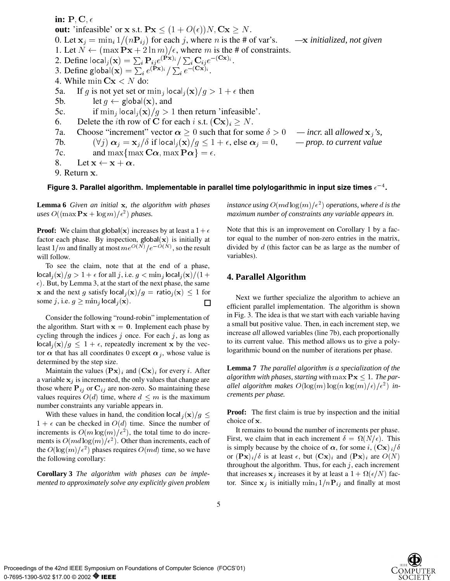in:  $P, C, \epsilon$ **out:** 'infeasible' or x s.t.  $\mathbf{P}\mathbf{x} \leq (1 + O(\epsilon))N$ ,  $\mathbf{C}\mathbf{x} \geq N$ . 0. Let  $x_i = \min_i 1/(nP_{ij})$  for each j, where n is the # of var's.  $\quad -x$  *initialized, not given* 1. Let  $\overline{N} \leftarrow (\max \mathbf{P} \mathbf{x} + 2 \ln m)/\epsilon$ , where m is the # of constraints. 2. Define  $\mathsf{local}_i(\mathbf{x}) = \sum_i \mathbf{P}_{ij} e^{(\mathbf{P}\mathbf{x})_i} / \sum_i \mathbf{C}_{ij} e^{-(\mathbf{C}\mathbf{x})_i}$ . 3. Define global $(\mathbf{x}) = \sum_i e^{(\mathbf{P} \mathbf{x})_i} / \sum_i e^{-(\mathbf{C} \mathbf{x})_i}$ . 4. While min  $Cx < N$  do: 5a. If g is not yet set or  $\min_j |\text{ocal}_j(\mathbf{x})/g\rangle \geq 1 + \epsilon$  then 5b. let  $g \leftarrow \text{global}(\mathbf{x})$ , and 5c. if  $\min_i |\text{ocal}_i(\mathbf{x})/g\rangle 1$  then return 'infeasible'. 6. Delete the *i*th row of C for each *i* s.t.  $(Cx)_i > N$ . 7a. Choose "increment" vector  $\alpha \ge 0$  such that for some  $\delta > 0$  — *incr.* all *allowed*  $x_i$ 's, 7b.  $(\forall j) \; \alpha_j = \mathbf{x}_j/\delta \text{ if } |\text{ocal}_j(\mathbf{x})/g \leq 1 + \epsilon \text{, else } \alpha_j = 0, \quad - \text{prop. to current value}$ 7c. and max $\{\max\}$ C $\alpha$ , max  $P\alpha\} = \epsilon$ . 8. Let  $x \leftarrow x + \alpha$ . 9. Return x.

# Figure 3. Parallel algorithm. Implementable in parallel time polylogarithmic in input size times  $\epsilon^{-4}.$

**Lemma 6** *Given an initial* x*, the algorithm with phases uses*  $O((\max \mathbf{Px} + \log m)/\epsilon^2)$  *phases.* 

**Proof:** We claim that global(x) increases by at least a  $1+\epsilon$ factor each phase. By inspection,  $g \mid \text{obal}(x)$  is initially at least  $1/m$  and finally at most  $me^{O(N)}/e^{-O(N)}$ , so the result will follow.

To see the claim, note that at the end of a phase,  $\left| \text{local}_i(\mathbf{x})/g > 1+\epsilon \text{ for all } j \text{, i.e. } g < \min_j \text{local}_i(\mathbf{x})/(1+\epsilon) \right|$  $\epsilon$ ). But, by Lemma 3, at the start of the next phase, the same x and the next g satisfy  $|{\rm local}_i({\bf x})/g| = {\rm ratio}_i({\bf x}) \leq 1$  for some j, i.e.  $g \ge \min_j |\text{ocal}_j(\mathbf{x})|$ .  $\Box$ 

Consider the following "round-robin" implementation of the algorithm. Start with  $x = 0$ . Implement each phase by cycling through the indices  $j$  once. For each  $j$ , as long as  $\left| \text{local}_{i}(\mathbf{x})/g \right| \leq 1+\epsilon$ , repeatedly increment x by the vector  $\alpha$  that has all coordinates 0 except  $\alpha_j$ , whose value is determined by the step size.

Maintain the values  $(Px)_i$  and  $(Cx)_i$  for every i. After a variable  $x_j$  is incremented, the only values that change are those where  $P_{ij}$  or  $C_{ij}$  are non-zero. So maintaining these values requires  $O(d)$  time, where  $d \leq m$  is the maximum number constraints any variable appears in.

With these values in hand, the condition local  $i(\mathbf{x})/g \leq$  $1 + \epsilon$  can be checked in  $O(d)$  time. Since the number of increments is  $O(m \log(m)/\epsilon^2)$ , the total time to do increments is  $O(md \log(m)/\epsilon^2)$ . Other than increments, each of the  $O(\log(m)/\epsilon^2)$  phases requires  $O(md)$  time, so we have the following corollary:

**Corollary 3** *The algorithm with phases can be implemented to approximately solve any explicitly given problem*

instance using  $O(md \log(m)/\epsilon^2)$  operations, where  $d$  is the *maximum number of constraints any variable appears in.*

Note that this is an improvement on Corollary 1 by a factor equal to the number of non-zero entries in the matrix, divided by d (this factor can be as large as the number of variables).

# **4. Parallel Algorithm**

Next we further specialize the algorithm to achieve an efficient parallel implementation. The algorithm is shown in Fig. 3. The idea is that we start with each variable having a small but positive value. Then, in each increment step, we increase *all* allowed variables (line 7b), each proportionally to its current value. This method allows us to give a polylogarithmic bound on the number of iterations per phase.

**Lemma 7** *The parallel algorithm is a specialization of the algorithm with phases, starting with* max  $P_X \leq 1$ . The parallel algorithm makes  $O(\log(m)\log(n\log(m)/\epsilon)/\epsilon^2)$  in*crements per phase.*

**Proof:** The first claim is true by inspection and the initial choice of <sup>x</sup>.

It remains to bound the number of increments per phase. First, we claim that in each increment  $\delta = \Omega(N/\epsilon)$ . This is simply because by the choice of  $\alpha$ , for some i,  $(Cx)_i/\delta$ or  $(\mathbf{Px})_i/\delta$  is at least  $\epsilon$ , but  $(\mathbf{Cx})_i$  and  $(\mathbf{Px})_i$  are  $O(N)$ throughout the algorithm. Thus, for each  $j$ , each increment that increases  $x_j$  increases it by at least a  $1+\Omega(\epsilon/N)$  factor. Since  $x_j$  is initially  $\min_i 1/nP_{ij}$  and finally at most

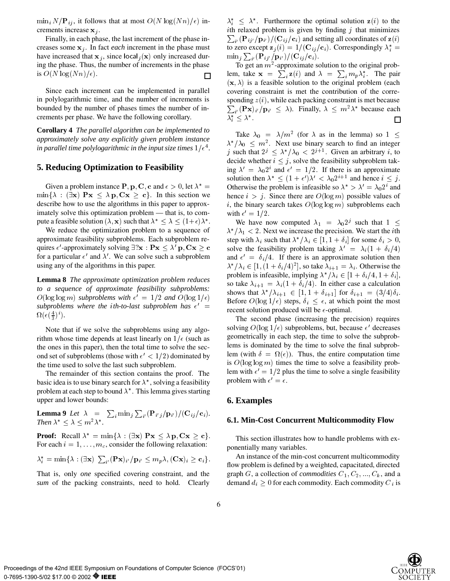$\min_i N/\mathbf{P}_{ij}$ , it follows that at most  $O(N \log(Nn)/\epsilon)$  increments increase  $x_i$ .

Finally, in each phase, the last increment of the phase increases some  $x_j$ . In fact *each* increment in the phase must have increased that  $x_j$ , since  $\left| \text{local}_j(\mathbf{x}) \right|$  only increased during the phase. Thus, the number of increments in the phase is  $O(N \log(Nn)/\epsilon)$ .  $\Box$ 

Since each increment can be implemented in parallel in polylogarithmic time, and the number of increments is bounded by the number of phases times the number of increments per phase. We have the following corollary.

**Corollary 4** *The parallel algorithm can be implemented to approximately solve any explicitly given problem instance in parallel time polylogarithmic in the input size times*  $1/\epsilon^4$ .

# **5. Reducing Optimization to Feasibility**

Given a problem instance P, p, C, c and  $\epsilon > 0$ , let  $\lambda^* =$  $\min\{\lambda : (\exists x) \; P x \leq \lambda p, C x > c\}.$  In this section we describe how to use the algorithms in this paper to approximately solve this optimization problem — that is, to compute a feasible solution  $(\lambda, \mathbf{x})$  such that  $\lambda^* \leq \lambda \leq (1+\epsilon)\lambda^*$ .

We reduce the optimization problem to a sequence of approximate feasibility subproblems. Each subproblem requires  $\epsilon'$ -approximately solving  $\exists$ ? $\mathbf{x} : \mathbf{P}\mathbf{x} \leq \lambda' \mathbf{p}$ ,  $\mathbf{C}\mathbf{x} \geq \mathbf{c}$  solve to for a particular  $\epsilon'$  and  $\lambda'$ . We can solve such a subproblem using any of the algorithms in this paper.

**Lemma 8** *The approximate optimization problem reduces to a sequence of approximate feasibility subproblems:*  $O(\log \log m)$  *subproblems with*  $\epsilon' = 1/2$  *and*  $O(\log 1/\epsilon)$ subproblems where the ith-to-last subproblem has  $\epsilon' =$  $\Omega(\epsilon(\frac{4}{3})^i)$ .

33 September 2005 - 1995 - 1995 - 1995 - 1995 - 1995 - 1995 - 1995 - 1995 - 1995 - 1995 - 1995 - 1995 - 1995 -

Note that if we solve the subproblems using any algorithm whose time depends at least linearly on  $1/\epsilon$  (such as the ones in this paper), then the total time to solve the second set of subproblems (those with  $\epsilon' < 1/2$ ) dominated by the time used to solve the last such subproblem.

The remainder of this section contains the proof. The basic idea is to use binary search for  $\lambda^*$ , solving a feasibility problem at each step to bound  $\lambda^*$ . This lemma gives starting upper and lower bounds:

**Lemma 9** *Let*  $\lambda = \sum_i \min_j \sum_{i'} (\mathbf{P}_{i'j} / \mathbf{p}_{i'}) / (\mathbf{C}_{ij} / \mathbf{c}_i)$ . *Then*  $\lambda^* \leq \lambda \leq m^2 \lambda^*$ .

**Proof:** Recall  $\lambda^* = \min{\lambda : (\exists x) \; P x \leq \lambda \; p, C x \geq c}$ . For each  $i = 1, \ldots, m_c$ , consider the following relaxation:

$$
\lambda_i^* = \min\{\lambda : (\exists \mathbf{x}) \sum_{i'} (\mathbf{P}\mathbf{x})_{i'} / \mathbf{p}_{i'} \leq m_p \lambda, (\mathbf{C}\mathbf{x})_i \geq \mathbf{c}_i\}.
$$

That is, only *one* specified covering constraint, and the *sum* of the packing constraints, need to hold. Clearly  $\lambda_i^* \leq \lambda^*$ . Furthermore the optimal solution  $z(i)$  to the ith relaxed problem is given by finding  $j$  that minimizes  $\sum_{i'} (\mathbf{P}_{ij'}/\mathbf{p}_{i'})/(\mathbf{C}_{ij}/\mathbf{c}_i)$  and setting all coordinates of  $\mathbf{z}(i)$ to zero except  $\mathbf{z}_j(i) = 1/(\mathbf{C}_{ij}/\mathbf{c}_i)$ . Correspondingly  $\lambda_i^* =$  $\min_j \sum_{i'} (\mathbf{P}_{ij'}/\mathbf{p}_{i'})/(\mathbf{C}_{ij}/\mathbf{c}_i).$ 

To get an  $m^2$ -approximate solution to the original problem, take  $\mathbf{x} = \sum_i \mathbf{z}(i)$  and  $\lambda = \sum_i m_p \lambda_i^*$ . The pair  $(\mathbf{x}, \lambda)$  is a feasible solution to the original problem (each covering constraint is met the contribution of the corresponding  $z(i)$ , while each packing constraint is met because  $\sum_{i'} (\mathbf{P} \mathbf{x})_{i'} / \mathbf{p}_{i'} \leq \lambda$ . Finally,  $\lambda \leq m^2 \lambda^*$  because each  $\lambda_i^* \leq \lambda^*$ .  $\Box$ 

Take  $\lambda_0 = \lambda/m^2$  (for  $\lambda$  as in the lemma) so  $1 \leq$  $\lambda^* / \lambda_0 \leq m^2$ . Next use binary search to find an integer j such that  $2^j \leq \lambda^*/\lambda_0 < 2^{j+1}$ . Given an arbitrary i, to decide whether  $i \leq j$ , solve the feasibility subproblem taking  $\lambda' = \lambda_0 2^i$  and  $\epsilon' = 1/2$ . If there is an approximate solution then  $\lambda^* \leq (1+\epsilon')\lambda' < \lambda_0 2^{i+1}$  and hence  $i \leq j$ . Otherwise the problem is infeasible so  $\lambda^* > \lambda' = \lambda_0 2^i$  and hence  $i > j$ . Since there are  $O(\log m)$  possible values of i, the binary search takes  $O(\log \log m)$  subproblems each with  $\epsilon' = 1/2$ .

recent solution produced will be  $\epsilon$ -optimal. We have now computed  $\lambda_1 = \lambda_0 2^j$  such that  $1 \leq$  $\lambda^* / \lambda_1 < 2$ . Next we increase the precision. We start the *i*th step with  $\lambda_i$  such that  $\lambda^* / \lambda_i \in [1, 1 + \delta_i]$  for some  $\delta_i > 0$ , solve the feasibility problem taking  $\lambda' = \lambda_i(1 + \delta_i/4)$ and  $\epsilon' = \delta_i/4$ . If there is an approximate solution then  $\lambda^* / \lambda_i \in [1, (1 + \delta_i/4)^2]$ , so take  $\lambda_{i+1} = \lambda_i$ . Otherwise the problem is infeasible, implying  $\lambda^* / \lambda_i \in [1 + \delta_i / 4, 1 + \delta_i]$ , so take  $\lambda_{i+1} = \lambda_i(1 + \delta_i/4)$ . In either case a calculation shows that  $\lambda^* / \lambda_{i+1} \in [1, 1 + \delta_{i+1}]$  for  $\delta_{i+1} = (3/4)\delta_i$ . Before  $O(\log 1/\epsilon)$  steps,  $\delta_i \leq \epsilon$ , at which point the most

The second phase (increasing the precision) requires solving  $O(\log 1/\epsilon)$  subproblems, but, because  $\epsilon'$  decreases geometrically in each step, the time to solve the subproblems is dominated by the time to solve the final subproblem (with  $\delta = \Omega(\epsilon)$ ). Thus, the entire computation time is  $O(\log \log m)$  times the time to solve a feasibility problem with  $\epsilon' = 1/2$  plus the time to solve a single feasibility problem with  $\epsilon' = \epsilon$ .

### **6. Examples**

#### **6.1. Min-Cost Concurrent Multicommodity Flow**

This section illustrates how to handle problems with exponentially many variables.

An instance of the min-cost concurrent multicommodity flow problem is defined by a weighted, capacitated, directed graph G, a collection of *commodities*  $C_1, C_2, \ldots, C_k$ , and a demand  $d_i \geq 0$  for each commodity. Each commodity  $C_i$  is

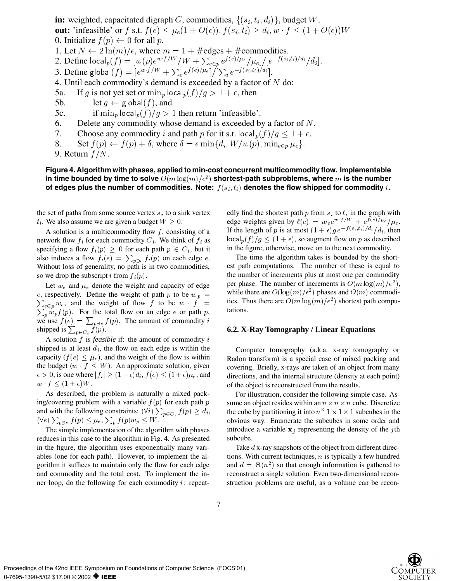**in:** weighted, capacitated digraph G, commodities,  $\{(s_i, t_i, d_i)\}\$ , budget W. **out:** 'infeasible' or f s.t.  $f(e) \leq \mu_e(1+O(\epsilon)), f(s_i, t_i) \geq d_i, w \cdot f \leq (1+O(\epsilon))W$ 0. Initialize  $f(p) \leftarrow 0$  for all p. 1. Let  $N \leftarrow 2 \ln(m)/\epsilon$ , where  $m = 1 + \text{\#edges} + \text{\#commodities.}$ 2. Define  $\textsf{local}_p(f) = [w(p) e^{w \cdot f/W} / W + \sum_{e \in p} e^{f(e) / \mu_e} / \mu_e] / [e^{-f(s_i, t_i) / d_i} / d_i].$ 3. Define global $(f) = [e^{w \cdot f/W} + \sum_{e} e^{f(e)/\mu_e}]/[\sum_{i} e^{-f(s_i, t_i)/d_i}].$ 4. Until each commodity's demand is exceeded by a factor of  $N$  do: 5a. If g is not yet set or  $\min_p |\text{ocal}_p(f)/g|> 1 + \epsilon$ , then 5b. let  $g \leftarrow \text{global}(f)$ , and 5c. if  $\min_p |\text{ocal}_p(f)/g\rangle 1$  then return 'infeasible'. 6. Delete any commodity whose demand is exceeded by a factor of  $N$ . 7. Choose any commodity i and path p for it s.t. local  $_p(f)/g \leq 1 + \epsilon$ .

8. Set  $f(p) \leftarrow f(p) + \delta$ , where  $\delta = \epsilon \min\{d_i, W/w(p), \min_{e \in p} \mu_e\}.$ 

```
9. Return f/N.
```
# **Figure 4. Algorithm with phases, applied to min-cost concurrent multicommodity flow. Implementable** in time bounded by time to solve  $O(m\log(m)/\epsilon^2)$  shortest-path subproblems, where  $m$  is the number **of edges plus the number of commodities. Note:** <sup>f</sup> (si ; ti) **denotes the flow shipped for commodity** <sup>i</sup>**.**

the set of paths from some source vertex  $s_i$  to a sink vertex  $t_i$ . We also assume we are given a budget  $W \geq 0$ .

A solution is a multicommodity flow  $f$ , consisting of a network flow  $f_i$  for each commodity  $C_i$ . We think of  $f_i$  as specifying a flow  $f_i(p) \geq 0$  for each path  $p \in C_i$ , but it also induces a flow  $f_i(e) = \sum_{p \ni e} f_i(p)$  on each edge e. Without loss of generality, no path is in two commodities, so we drop the subscript i from  $f_i(p)$ .

Let  $w_e$  and  $\mu_e$  denote the weight and capacity of edge  $\sum_{e \in p} w_e$ , and the weight of flow f to be  $w \cdot f =$  ties. In e, respectively. Define the weight of path p to be  $w_p =$  $p_p w_p f(p)$ . For the total flow on an edge e or path p, we use  $f(e) = \sum_{p \ni e} f(p)$ . The amount of commodity i shipped is  $\sum_{p \in C_i} f(p)$ .

A solution <sup>f</sup> is *feasible* if: the amount of commodity <sup>i</sup> shipped is at least  $d_i$ , the flow on each edge is within the capacity ( $f(e) \leq \mu_e$ ), and the weight of the flow is within the budget  $(w \mid f \leq W)$ . An approximate solution, given  $\epsilon > 0$ , is one where  $|f_i| \geq (1 - \epsilon) d_i$ ,  $f(e) \leq (1 + \epsilon) \mu_e$ , and  $w \cdot f \leq (1+\epsilon)W$ .

As described, the problem is naturally a mixed packing/covering problem with a variable  $f(p)$  for each path p and with the following constraints:  $(\forall i) \sum_{p \in C_i} f(p) \geq d_i$ , the ci  $(\forall e)\sum_{p\ni e}f(p)\leq\mu_e, \sum_{p}f(p)w_p\leq W.$ 

The simple implementation of the algorithm with phases reduces in this case to the algorithm in Fig. 4. As presented in the figure, the algorithm uses exponentially many variables (one for each path). However, to implement the algorithm it suffices to maintain only the flow for each edge and commodity and the total cost. To implement the inner loop, do the following for each commodity <sup>i</sup>: repeatedly find the shortest path  $p$  from  $s_i$  to  $t_i$  in the graph with edge weights given by  $\ell(e) = w_e e^{w \cdot f/W} + e^{f(e)/\mu_e}/\mu_e$ . If the length of p is at most  $(1+\epsilon)g e^{-f(s_i, t_i)/d_i}/d_i$ , then  $\lvert \text{local}_p(f)/g \leq (1+\epsilon)$ , so augment flow on p as described in the figure, otherwise, move on to the next commodity.

The time the algorithm takes is bounded by the shortest path computations. The number of these is equal to the number of increments plus at most one per commodity per phase. The number of increments is  $O(m \log(m)/\epsilon^2)$ , while there are  $O(\log(m)/\epsilon^2)$  phases and  $O(m)$  commodities. Thus there are  $O(m \log(m)/\epsilon^2)$  shortest path computations.

### **6.2. X-Ray Tomography / Linear Equations**

Computer tomography (a.k.a. x-ray tomography or Radon transform) is a special case of mixed packing and covering. Briefly, x-rays are taken of an object from many directions, and the internal structure (density at each point) of the object is reconstructed from the results.

For illustration, consider the following simple case. Assume an object resides within an  $n \times n \times n$  cube. Discretize the cube by partitioning it into  $n^3$  1  $\times$  1  $\times$  1 subcubes in the obvious way. Enumerate the subcubes in some order and introduce a variable  $x_i$  representing the density of the jth subcube.

Take d x-ray snapshots of the object from different directions. With current techniques,  $n$  is typically a few hundred and  $d = \Theta(n^2)$  so that enough information is gathered to reconstruct a single solution. Even two-dimensional reconstruction problems are useful, as a volume can be recon-

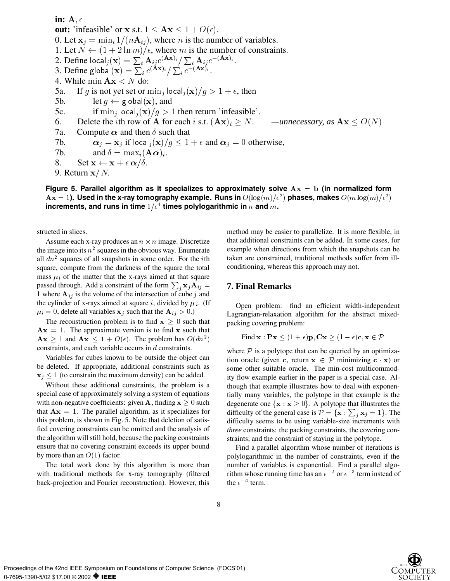in:  $A, \epsilon$ **out:** 'infeasible' or x s.t.  $1 \leq Ax \leq 1 + O(\epsilon)$ . 0. Let  $x_i = \min_i 1/(nA_{ij})$ , where n is the number of variables. 1. Let  $N \leftarrow (1 + 2 \ln m)/\epsilon$ , where m is the number of constraints. 2. Define  $\textsf{local}_i(\mathbf{x}) = \sum_i \mathbf{A}_{ij} e^{(\mathbf{A}\mathbf{x})_i} / \sum_i \mathbf{A}_{ij} e^{-(\mathbf{A}\mathbf{x})_i}$ . 3. Define global $(\mathbf{x}) = \sum_i e^{(\mathbf{A}\mathbf{x})_i} / \sum_i e^{-(\mathbf{A}\mathbf{x})_i}$ . 4. While min  $\mathbf{A}\mathbf{x} < N$  do: 5a. If g is not yet set or  $\min_i |\text{ocal}_i(\mathbf{x})/g\rangle \geq 1 + \epsilon$ , then 5b. let  $g \leftarrow \text{global}(\mathbf{x})$ , and 5c. if  $\min_i |\text{ocal}_i(\mathbf{x})/g\rangle 1$  then return 'infeasible'. 6. Delete the *i*th row of A for each *i* s.t.  $(Ax)_i > N$ . *—unnecessary, as*  $A x \le O(N)$ 7a. Compute  $\alpha$  and then  $\delta$  such that 7b.  $\alpha_j = \mathbf{x}_j$  if local $_j(\mathbf{x})/g \leq 1 + \epsilon$  and  $\alpha_j = 0$  otherwise, 7b. and  $\delta = \max_i (\mathbf{A}\boldsymbol{\alpha})_i$ . 8. Set  $\mathbf{x} \leftarrow \mathbf{x} + \epsilon \, \boldsymbol{\alpha}/\delta$ . 9. Return  $x/N$ .

**Figure 5. Parallel algorithm as it specializes to approximately solve** Ax <sup>=</sup> b**(in normalized form**  ${\bf A} {\bf x}=1$ **). Used in the x-ray tomography example. Runs in**  $O(\log(m)/\epsilon^2)$  phases, makes  $O(m\log(m)/\epsilon^2)$ increments, and runs in time  $1/\epsilon^4$  times polylogarithmic in  $n$  and  $m$ .

structed in slices.

Assume each x-ray produces an  $n \times n$  image. Discretize the image into its  $n^2$  squares in the obvious way. Enumerate all  $dn^2$  squares of all snapshots in some order. For the *i*th square, compute from the darkness of the square the total mass  $\mu_i$  of the matter that the x-rays aimed at that square passed through. Add a constraint of the form  $\sum_i \mathbf{x}_i \mathbf{A}_{ij} =$ 1 where  $A_{ij}$  is the volume of the intersection of cube j and the cylinder of x-rays aimed at square i, divided by  $\mu_i$ . (If  $\mu_i = 0$ , delete all variables  $\mathbf{x}_j$  such that the  $\mathbf{A}_{ij} > 0$ .)

The reconstruction problem is to find  $x \geq 0$  such that  $Ax = 1$ . The approximate version is to find x such that  $\mathbf{A}\mathbf{x} \geq 1$  and  $\mathbf{A}\mathbf{x} \leq \mathbf{1} + O(\epsilon)$ . The problem has  $O(dn^2)$ constraints, and each variable occurs in d constraints.

Variables for cubes known to be outside the object can be deleted. If appropriate, additional constraints such as  $x_j \le 1$  (to constrain the maximum density) can be added.

Without these additional constraints, the problem is a special case of approximately solving a system of equations with non-negative coefficients: given A, finding  $x \geq 0$  such that  $\mathbf{A}\mathbf{x} = 1$ . The parallel algorithm, as it specializes for this problem, is shown in Fig. 5. Note that deletion of satisfied covering constraints can be omitted and the analysis of the algorithm will still hold, because the packing constraints ensure that no covering constraint exceeds its upper bound by more than an  $O(1)$  factor.

The total work done by this algorithm is more than with traditional methods for x-ray tomography (filtered back-projection and Fourier reconstruction). However, this method may be easier to parallelize. It is more flexible, in that additional constraints can be added. In some cases, for example when directions from which the snapshots can be taken are constrained, traditional methods suffer from illconditioning, whereas this approach may not.

# $j$   $\mathbf{x}_j \mathbf{A}_{ij} =$  **7. Final Remarks**

Open problem: find an efficient width-independent Lagrangian-relaxation algorithm for the abstract mixedpacking covering problem:

Find 
$$
\mathbf{x} : \mathbf{P}\mathbf{x} \leq (1+\epsilon)\mathbf{p}, \mathbf{C}\mathbf{x} \geq (1-\epsilon)\mathbf{c}, \mathbf{x} \in \mathcal{P}
$$

where  $P$  is a polytope that can be queried by an optimization oracle (given c, return  $x \in \mathcal{P}$  minimizing c x) or some other suitable oracle. The min-cost multicommodity flow example earlier in the paper is a special case. Although that example illustrates how to deal with exponentially many variables, the polytope in that example is the degenerate one  $\{x : x \geq 0\}$ . A polytope that illustrates the difficulty of the general case is  $\mathcal{P} = {\mathbf{x} : \sum_j \mathbf{x}_j = 1}$ . The difficulty seems to be using variable-size increments with *three* constraints: the packing constraints, the covering constraints, and the constraint of staying in the polytope.

Find a parallel algorithm whose number of iterations is polylogarithmic in the number of constraints, even if the number of variables is exponential. Find a parallel algorithm whose running time has an  $\epsilon^{-2}$  or  $\epsilon^{-3}$  term instead of the  $\epsilon^{-4}$  term.